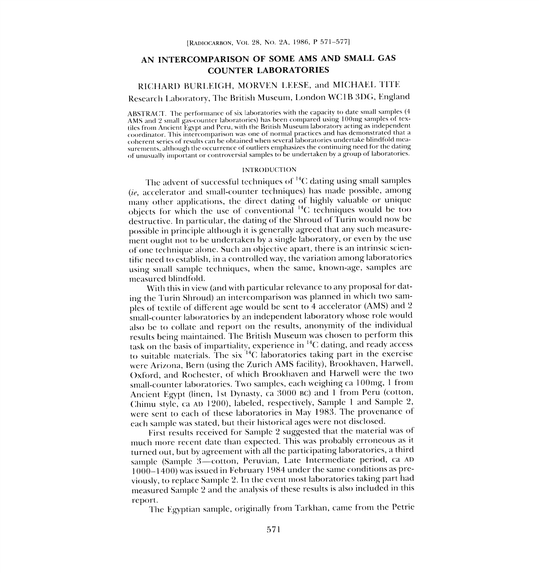## AN INTERCOMPARISON OF SOME AMS AND SMALL GAS COUNTER LABORATORIES

## RICHARD BURLEIGH, MORVEN LEESE, and MICHAEL TITS

# Research Laboratory, The British Museum, London WC1B 3DG, England

ABSTRACT. The performance of six laboratories with the capacity to date small samples (4 AMS and 2 small gas-counter laboratories) has been compared using 100mg samples of textiles from Ancient Egypt and Peru, with the British Museum laboratory acting as independent coherent series of results can be obtained when several laboratories undertake blindfold measurements, although the occurrence of outliers emphasizes the continuing need for the dating of unusually important or controversial samples to be undertaken by a group of laboratories.

### INTRODUCTION

The advent of successful techniques of 14C dating using small samples (ie, accelerator and small-counter techniques) has made possible, among many other applications, the direct dating of highly valuable or unique objects for which the use of conventional  $^{14}C$  techniques would be too destructive. In particular, the dating of the Shroud of Turin would now be possible in principle although it is generally agreed that any such measurement ought not to be undertaken by a single laboratory, or even by the use of one technique alone. Such an objective apart, there is an intrinsic scientific need to establish, in a controlled way, the variation among laboratories using small sample techniques, when the same, known-age, samples are measured blindfold.

With this in view (and with particular relevance to any proposal for dating the Turin Shroud) an intercomparison was planned in which two samples of textile of different age would be sent to 4 accelerator (AMS) and <sup>2</sup> small-counter laboratories by an independent laboratory whose role would also be to collate and report on the results, anonymity of the individual results being maintained. The British Museum was chosen to perform this task on the basis of impartiality, experience in  ${}^{14}C$  dating, and ready access to suitable materials. The six  $^{14}C$  laboratories taking part in the exercise were Arizona, Bern (using the Zurich AMS facility), Brookhaven, Harwell, Oxford, and Rochester, of which Brookhaven and Harwell were the two small-counter laboratories. Two samples, each weighing cal 00mg, 1 from Ancient Egypt (linen, 1st Dynasty, ca 3000 BC) and 1 from Peru (cotton, Chimu style, ca AD 1200), labeled, respectively, Sample 1 and Sample 2, were sent to each of these laboratories in May 1983. The provenance of each sample was stated, but their historical ages were not disclosed.

First results received for Sample 2 suggested that the material was of much more recent date than expected. This was probably erroneous as it turned out, but by agreement with all the participating laboratories, a third sample (Sample 3-cotton, Peruvian, Late Intermediate period, ca AD 1000-1400) was issued in February 1984 under the same conditions as previously, to replace Sample 2. In the event most laboratories taking part had measured Sample 2 and the analysis of these results is also included in this report.

The Egyptian sample, originally from Tarkhan, came from the Petrie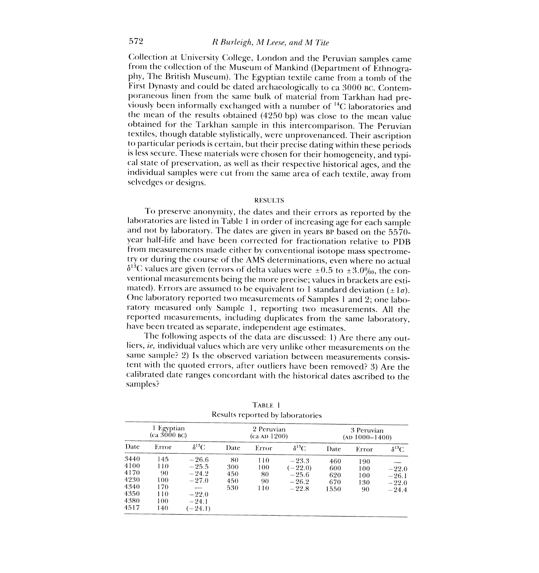Collection at University College, London and the Peruvian samples came from the collection of the Museum of Mankind (Department of Ethnography, The British Museum). The Egyptian textile came from a tomb of the First Dynasty and could be dated archaeologically to ca 3000 BC. Contemviously been informally exchanged with a number of <sup>14</sup>C laboratories and the mean of the results obtained (4250 bp) was close to the mean value obtained for the Tarkhan sample in this intercomparison. The Peruvian textiles, though datable stylistically, were unprovenanced. Their ascription to particular periods is certain, but their precise dating within these periods is less secure. These materials were chosen for their homogeneity, and typi- cal state of preservation, as well as their respective historical ages, and the individual samples were cut from the same area of each textile, away from selvedges or designs.

#### RESULTS

To preserve anonymity, the dates and their errors as reported by the laboratories are listed in Table 1 in order of increasing age for each sample and not by laboratory. The dates are given in years BP based on the 5570 year half-life and have been corrected for fractionation relative to PDB from measurements made either by conventional isotope mass spectrometry or during the course of the AMS determinations, even where no actual  $\delta^{13}$ C values are given (errors of delta values were ±0.5 to ±3.0‰, the conventional measurements being the more precise; values in brackets are esti-<br>mated). Errors are assumed to be equivalent to 1 standard deviation  $(\pm 1\sigma)$ . One laboratory reported two measurements of Samples 1 and 2; one laboratory measured only Sample I, reporting two measurements. All the reported measurements, including duplicates from the same laboratory, have been treated as separate, independent age estimates.

The following aspects of the data are discussed: 1) Are there any outliers, *ie*, individual values which are very unlike other measurements on the same sample? 2) Is the observed variation between measurements consistent with the quoted errors, after outliers have been removed? 3) Are the calibrated date ranges concordant with the historical dates ascribed to the samples?

|                                                              | Egyptian<br>(ca 3000 BC)                            |                                                                             | 2 Peruvian<br>(ca AD 1200)     |                               | 3 Peruvian<br>$(AD 1000-1400)$                        |                                  |                                |                                          |
|--------------------------------------------------------------|-----------------------------------------------------|-----------------------------------------------------------------------------|--------------------------------|-------------------------------|-------------------------------------------------------|----------------------------------|--------------------------------|------------------------------------------|
| Date                                                         | Error                                               | $\delta^{13}\text{C}$                                                       | Date                           | Error                         | $\delta^{13}\mathrm{C}$                               | Date                             | Error                          | $\delta^{13}C$                           |
| 3440<br>4100<br>4170<br>4230<br>4340<br>4350<br>4380<br>4517 | 145<br>110<br>90<br>100<br>170<br>110<br>100<br>140 | $-26.6$<br>$-25.5$<br>$-24.2$<br>$-27.0$<br>$-22.0$<br>$-24.1$<br>$(-24.1)$ | 80<br>300<br>450<br>450<br>530 | 110<br>100<br>80<br>90<br>110 | $-23.3$<br>$(-22.0)$<br>$-25.6$<br>$-26.2$<br>$-22.8$ | 460<br>600<br>620<br>670<br>1550 | 190<br>100<br>100<br>130<br>90 | $-22.0$<br>$-26.1$<br>$-22.0$<br>$-24.4$ |

TABLE I Results reported by laboratories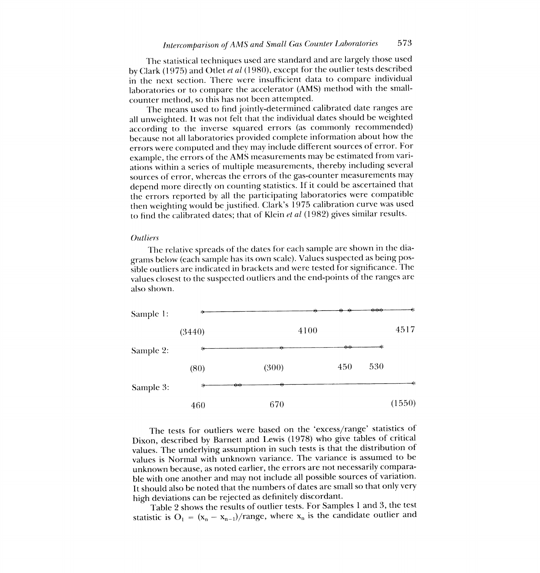The statistical techniques used are standard and are largely those used by Clark (1975) and Otlet et al (1980), except for the outlier tests described in the next section. There were insufficient data to compare individual laboratories or to compare the accelerator (AMS) method with the smallcounter method, so this has not been attempted.

The means used to find jointly-determined calibrated date ranges are all unweighted. It was not felt that the individual dates should be weighted according to the inverse squared errors (as commonly recommended) because not all laboratories provided complete information about how the errors were computed and they may include different sources of error. For example, the errors of the AMS measurements may be estimated from variations within a series of multiple measurements, thereby including several sources of error, whereas the errors of the gas-counter measurements may depend more directly on counting statistics. If it could be ascertained that the errors reported by all the participating laboratories were compatible then weighting would be justified. Clark's 1975 calibration curve was used to find the calibrated dates; that of Klein et al (1982) gives similar results.

## **Outliers**

The relative spreads of the dates for each sample are shown in the diagrams below (each sample has its own scale). Values suspected as being possible outliers are indicated in brackets and were tested for significance. The values closest to the suspected outliers and the end-points of the ranges are also shown.



The tests for outliers were based on the 'excess/range' statistics of Dixon, described by Barnett and Lewis (1978) who give tables of critical values. The underlying assumption in such tests is that the distribution of values is Normal with unknown variance. The variance is assumed to be unknown because, as noted earlier, the errors are not necessarily comparable with one another and may not include all possible sources of variation. It should also be noted that the numbers of dates are small so that only very high deviations can be rejected as definitely discordant.

Table 2 shows the results of outlier tests. For Samples 1 and 3, the test statistic is  $O_1 = (x_n - x_{n-1})/range$ , where  $x_n$  is the candidate outlier and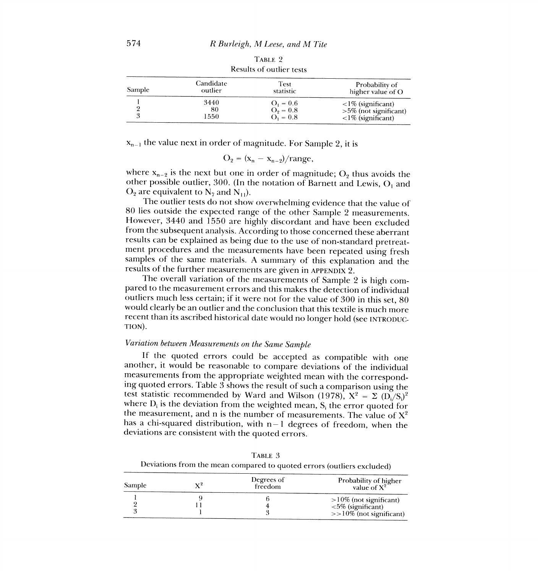| Sample | Candidate | Test        | Probability of               |
|--------|-----------|-------------|------------------------------|
|        | outlier   | statistic   | higher value of O            |
|        | 3440      | $O_1 = 0.6$ | $\langle$ = 1% (significant) |
|        | 80        | $O_2 = 0.8$ | $>5\%$ (not significant)     |
|        | 1550      | $O_1 = 0.8$ | $\langle$ 1% (significant)   |

TABLE 2 Results of outlier tests

 $x_{n-1}$  the value next in order of magnitude. For Sample 2, it is

$$
O_2 = (x_n - x_{n-2})/range,
$$

where  $x_{n-2}$  is the next but one in order of magnitude; O<sub>2</sub> thus avoids the other possible outlier, 300. (In the notation of Barnett and Lewis,  $O_1$  and  $O_2$  are equivalent to  $N_7$  and  $N_{11}$ ).

The outlier tests do not show overwhelming evidence that the value of 80 lies outside the expected range of the other Sample 2 measurements. However, 3440 and 1550 are highly discordant and have been excluded from the subsequent analysis. According to those concerned these aberrant results can be explained as being due to the use of non-standard pretreat- ment procedures and the measurements have been repeated using fresh samples of the same materials. A summary of this explanation and the results of the further measurements are given in APPENDIX 2.

The overall variation of the measurements of Sample 2 is high compared to the measurement errors and this makes the detection of individual outliers much less certain; if it were not for the value of 300 in this set, 80 would clearly be an outlier and the conclusion that this textile is much more recent than its ascribed historical date would no longer hold (see INTRODUC-TION) .

## Variation between Measurements on the Same Sample

If the quoted errors could be accepted as compatible with one another, it would be reasonable to compare deviations of the individual ing quoted errors. Table 3 shows the result of such a comparison using the test statistic recommended by Ward and Wilson (1978),  $X^2 = \sum (\overline{D_i}/S_i)^2$  where  $D_i$  is the deviation from the weighted mean,  $S_i$  the error quoted for the measurement, and n is the number of measurements. The value of  $X^2$ has a chi-squared distribution, with  $n-1$  degrees of freedom, when the deviations are consistent with the quoted errors.

|        |                | Deviations from the mean compared to quoted errors (outliers excluded) |                                                                              |  |
|--------|----------------|------------------------------------------------------------------------|------------------------------------------------------------------------------|--|
| Sample | $\mathbf{Y}^2$ | Degrees of<br>freedom                                                  | Probability of higher<br>value of $X^2$                                      |  |
|        |                |                                                                        | $>10\%$ (not significant)<br><5% (significant)<br>$>>10\%$ (not significant) |  |

TABLE 3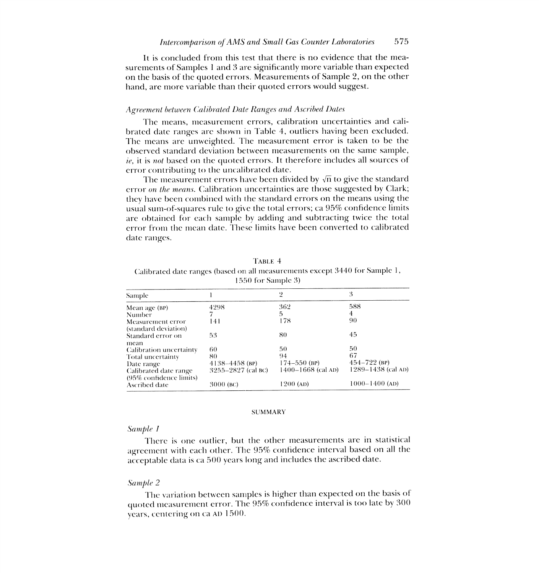It is concluded from this test that there is no evidence that the measurements of Samples 1 and 3 are significantly more variable than expected on the basis of the quoted errors. Measurements of Sample 2, on the other hand, are more variable than their quoted errors would suggest.

### Agreement between Calibrated Date Ranges and Ascribed Dates

The means, measurement errors, calibration uncertainties and calibrated date ranges are shown in Table 4, outliers having been excluded. The means are unweighted. The measurement error is taken to be the observed standard deviation between measurements on the same sample, ie, it is not based on the quoted errors. It therefore includes all sources of error contributing to the uncalibrated date.

The measurement errors have been divided by  $\sqrt{n}$  to give the standard error on the means. Calibration uncertainties are those suggested by Clark; they have been combined with the standard errors on the means using the usual sum-of-squares rule to give the total errors; ca 95% confidence limits are obtained for each sample by adding and subtracting twice the total error from the mean date. These limits have been converted to calibrated date ranges.

| <b>Sample</b>                                    |                    | 2                  | 3                  |
|--------------------------------------------------|--------------------|--------------------|--------------------|
| Mean age (BP)                                    | 4298               | 362                | 588                |
| Number                                           |                    | 5                  | 4                  |
| Measurement error<br>(standard deviation)        | 141                | 178                | 90                 |
| Standard error on<br>mean                        | 53                 | 80                 | 45                 |
| Calibration uncertainty                          | 60                 | 50                 | 50                 |
| Total uncertainty                                | 80                 | 94                 | 67                 |
| Date range                                       | 4138-4458 (BP)     | $174 - 550$ (BP)   | $454 - 722$ (BP)   |
| Calibrated date range<br>(95% confidence limits) | 3255–2827 (cal BC) | 1400–1668 (cal AD) | 1289–1438 (cal AD) |
| Ascribed date                                    | 3000 (BC)          | 1200 (ad)          | $1000 - 1400$ (AD) |

TABLE 4 Calibrated date ranges (based on all measurements except 3440 for Sample 1, 1550 for Sample 3)

## SUMMARY

## Sample I

There is one outlier, but the other measurements are in statistical agreement with each other. The 95% confidence interval based on all the acceptable data is ca 500 years long and includes the ascribed date.

## Sample 2

The variation between samples is higher than expected on the basis of quoted measurement error. The 95% confidence interval is too late by 300 years, centering on ca AD 1500.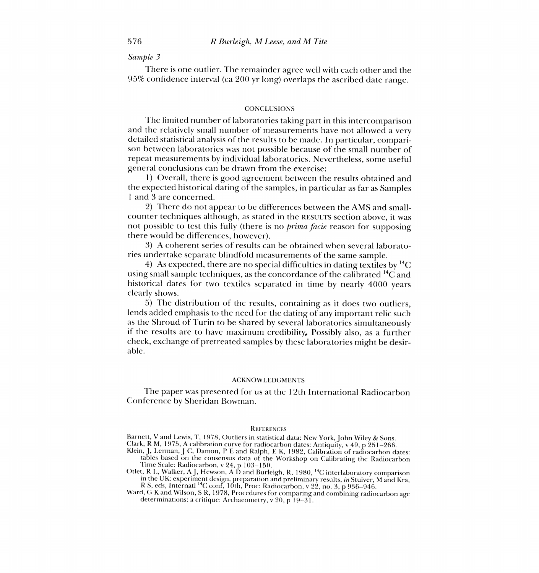## Sample 3

There is one outlier. The remainder agree well with each other and the 95% confidence interval (ca 200 yr long) overlaps the ascribed date range.

## **CONCLUSIONS**

The limited number of laboratories taking part in this intercomparison and the relatively small number of measurements have not allowed a very detailed statistical analysis of the results to be made. In particular, comparison between laboratories was not possible because of the small number of repeat measurements by individual laboratories. Nevertheless, some useful general conclusions can be drawn from the exercise:

1) Overall, there is good agreement between the results obtained and the expected historical dating of the samples, in particular as far as Samples <sup>1</sup>and 3 are concerned.

2) There do not appear to be differences between the AMS and smallcounter techniques although, as stated in the RESULTS section above, it was not possible to test this fully (there is no *prima facie* reason for supposing there would be differences, however).

3) A coherent series of results can be obtained when several laboratories undertake separate blindfold measurements of the same sample.

4) As expected, there are no special difficulties in dating textiles by  ${}^{14}C$ using small sample techniques, as the concordance of the calibrated  $^{14}C$  and historical dates for two textiles separated in time by nearly 4000 years clearly shows.

5) The distribution of the results, containing as it does two outliers, as the Shroud of Turin to be shared by several laboratories simultaneously if the results are to have maximum credibility. Possibly also, as a further check, exchange of pretreated samples by these laboratories might be desirable.

#### ACKNOWLEDGMENTS

The paper was presented for us at the 12th International Radiocarbon Conference by Sheridan Bowman.

#### **REFERENCES**

Barnett, V and Lewis, T, 1978, Outliers in statistical data: New York, John Wiley & Sons.

Clark, R M, 1975, A calibration curve for radiocarbon dates: Antiquity, v 49, p 251-266.

- Klein, J, Lerman, J C, Damon, P E and Ralph, E K, 1982, Calibration of radiocarbon dates: tables based on the consensus data of the Workshop on Calibrating the Radiocarbon Time Scale: Radiocarbon, v 24, p 103-150.
- Otlet, R L, Walker, A J, Hewson, A D and Burleigh, R, 1980,  $^{14}$ C interlaboratory comparison in the UK: experiment design, preparation and preliminary results, in Stuiver, M and Kra, R S, eds, Internatl<sup>14</sup>C conf, 10th, Proc: Radiocarbon, v 22, no. 3, p 936–946.

Ward, G K and Wilson, S R, 1978, Procedures for comparing and combining radiocarbon age determinations: a critique: Archaeometry, v 20, p 19-31.